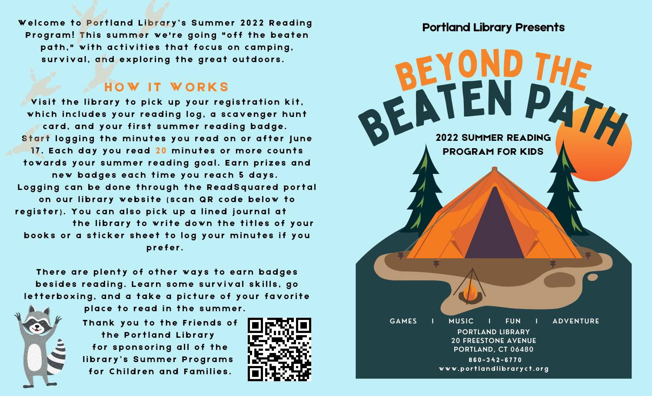Welcome to Portland Library's Summer 2022 Reading Program! This summer we're going "off the beaten path," with activities that focus on camping, survival, and exploring the great outdoors.

#### HOW IT WORKS

Visit the library to pick up your registration kit, which includes your reading log, a scavenger hunt card, and your first summer reading badge. Start logging the minutes you read on or after June 17. Each day you read 20 minutes or more counts towards your summer reading goal. Earn prizes and new badges each time you reach 5 days. Logging can be done through the ReadSquared portal on our library website (scan QR code below to register). You can also pick up a lined journal at the library to write down the titles of your books or a sticker sheet to log your minutes if you prefer.

There are plenty of other ways to earn badges besides reading. Learn some survival skills, go letterboxing, and a take a picture of your favorite

place to read in the summer.